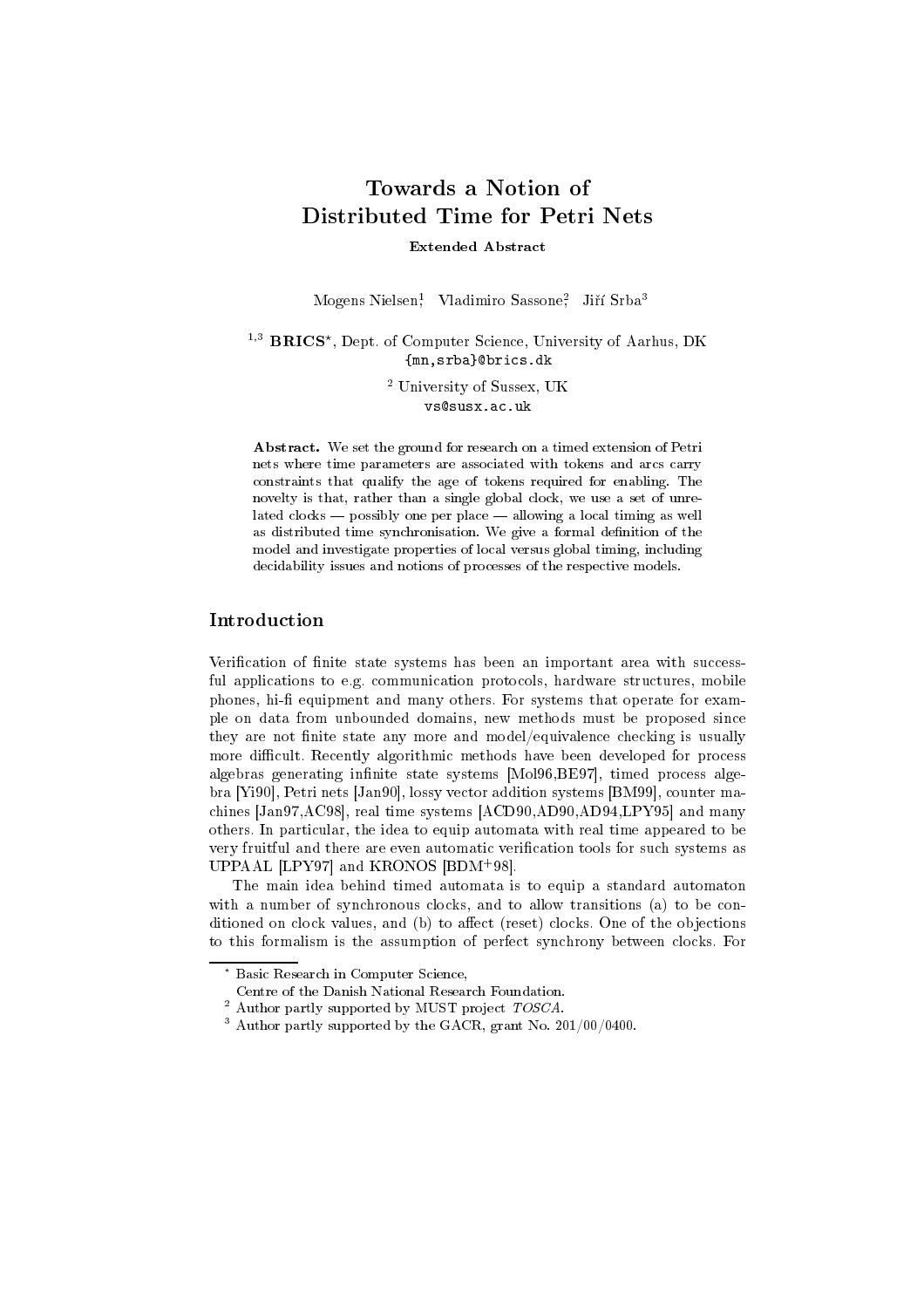# Towards a Notion of Distributed Time for Petri Nets

Extended Abstract

Mogens Nielsen; Vladimiro Sassone; Jiri Srba-

 $\rightarrow$  **DRICS**, Dept. of Computer Science, University of Aarnus, DK {mn,srba}@brics.dk

> $\sim$  University of Sussex, UK vs@susx.ac.uk

Abstract. We set the ground for research on a timed extension of Petri nets where time parameters are associated with tokens and arcs carry constraints that qualify the age of tokens required for enabling. The novelty is that, rather than a single global clock, we use a set of unrelated  $clocks$   $\equiv$  possibly one per place  $\equiv$  allowing a local timing as well as distributed time synchronisation. We give a formal definition of the model and investigate properties of local versus global timing, including decidability issues and notions of processes of the respective models.

# Introduction

Verification of finite state systems has been an important area with successful applications to e.g. communication protocols, hardware structures, mobile phones, hi-fi equipment and many others. For systems that operate for example on data from unbounded domains, new methods must be proposed since they are not finite state any more and model/equivalence checking is usually more difficult. Recently algorithmic methods have been developed for process algebras generating infinite state systems [Mol96,BE97], timed process algebra [Yi90], Petri nets [Jan90], lossy vector addition systems [BM99], counter machines [Jan97,AC98], real time systems [ACD90,AD90,AD94,LPY95] and many others. In particular, the idea to equip automata with real time appeared to be very fruitful and there are even automatic verification tools for such systems as UPPAAL LET 97 | and KRONOS | DDM 98|.

The main idea behind timed automata is to equip a standard automaton with a number of synchronous clocks, and to allow transitions (a) to be conditioned on clock values, and  $(b)$  to affect (reset) clocks. One of the objections to this formalism is the assumption of perfect synchrony between clocks. For

<sup>?</sup> Basic Research in Computer Science,

Centre of the Danish National Research Foundation.

 $\bar{\;}$  Author partly supported by MUST project  $TOSCA.$ 

<sup>3</sup> Author partly supported by the GACR, grant No. 201/00/0400.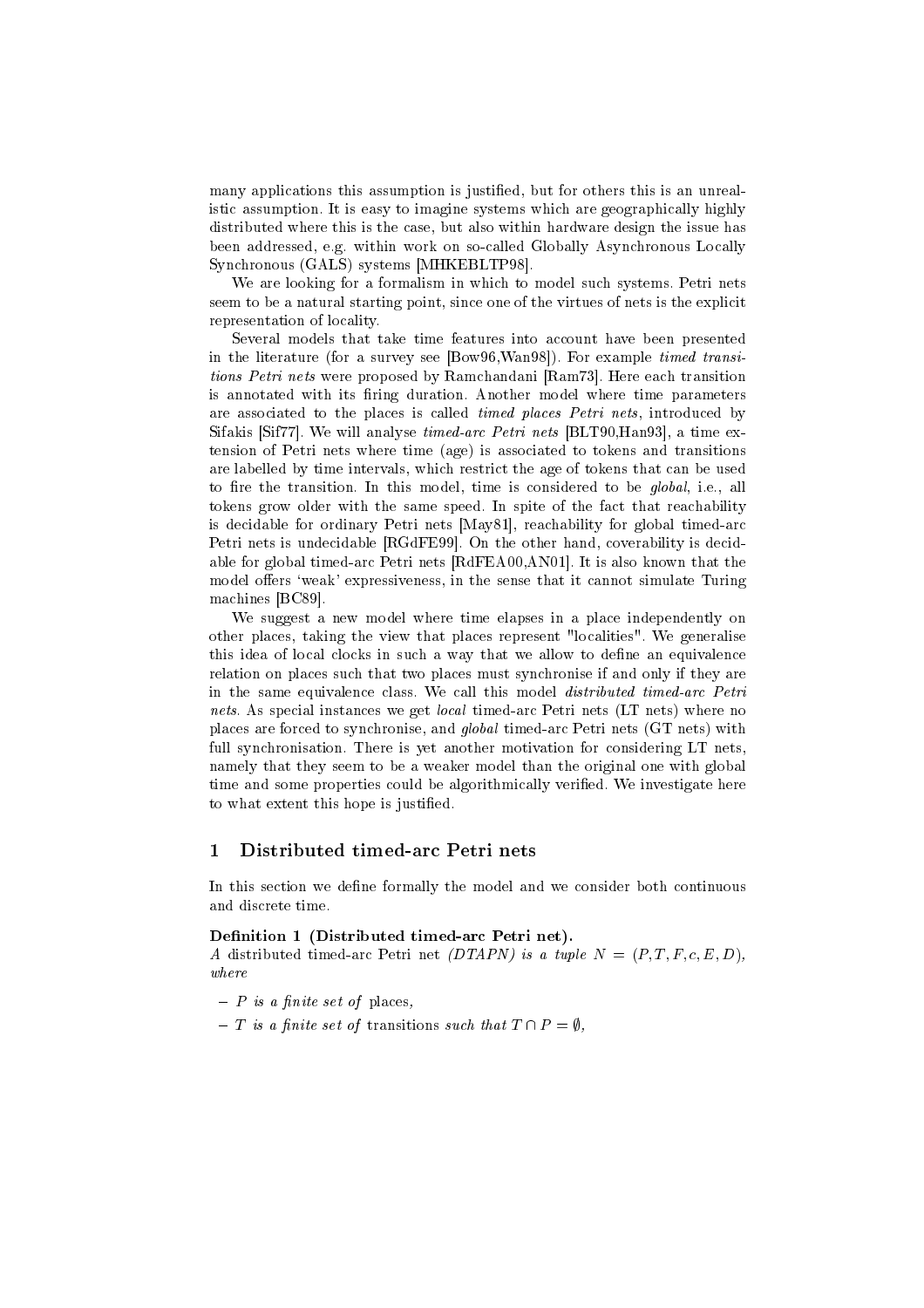many applications this assumption is justified, but for others this is an unrealistic assumption. It is easy to imagine systems which are geographically highly distributed where this is the case, but also within hardware design the issue has been addressed, e.g. within work on so-called Globally Asynchronous Locally Synchronous (GALS) systems [MHKEBLTP98].

We are looking for a formalism in which to model such systems. Petri nets seem to be a natural starting point, since one of the virtues of nets is the explicit representation of locality.

Several models that take time features into account have been presented in the literature (for a survey see [Bow96,Wan98]). For example timed transitions Petri nets were proposed by Ramchandani [Ram73]. Here each transition is annotated with its firing duration. Another model where time parameters are associated to the places is called *timed places Petri nets*, introduced by Sifakis [Sif77]. We will analyse timed-arc Petri nets [BLT90,Han93], a time extension of Petri nets where time (age) is associated to tokens and transitions are labelled by time intervals, which restrict the age of tokens that can be used to fire the transition. In this model, time is considered to be *global*, i.e., all tokens grow older with the same speed. In spite of the fact that reachability is decidable for ordinary Petri nets [May81], reachability for global timed-arc Petri nets is undecidable [RGdFE99]. On the other hand, coverability is decidable for global timed-arc Petri nets [RdFEA00,AN01]. It is also known that the model offers 'weak' expressiveness, in the sense that it cannot simulate Turing machines [BC89].

We suggest a new model where time elapses in a place independently on other places, taking the view that places represent "localities". We generalise this idea of local clocks in such a way that we allow to define an equivalence relation on places such that two places must synchronise if and only if they are in the same equivalence class. We call this model distributed timed-arc Petri nets. As special instances we get *local* timed-arc Petri nets (LT nets) where no places are forced to synchronise, and global timed-arc Petri nets (GT nets) with full synchronisation. There is yet another motivation for considering LT nets, namely that they seem to be a weaker model than the original one with global time and some properties could be algorithmically verified. We investigate here to what extent this hope is justified.

## Distributed timed-arc Petri nets

In this section we define formally the model and we consider both continuous and discrete time.

#### Definition 1 (Distributed timed-arc Petri net).

A distributed timed-arc Petri net (DTAPN) is a tuple  $N = (P, T, F, c, E, D)$ ,

- $-P$  is a finite set of places,
- The set of transitions such that T is a such that T  $\mathbb{P} \setminus \mathbb{P}$  is such that T  $\mathbb{P} \setminus \mathbb{P}$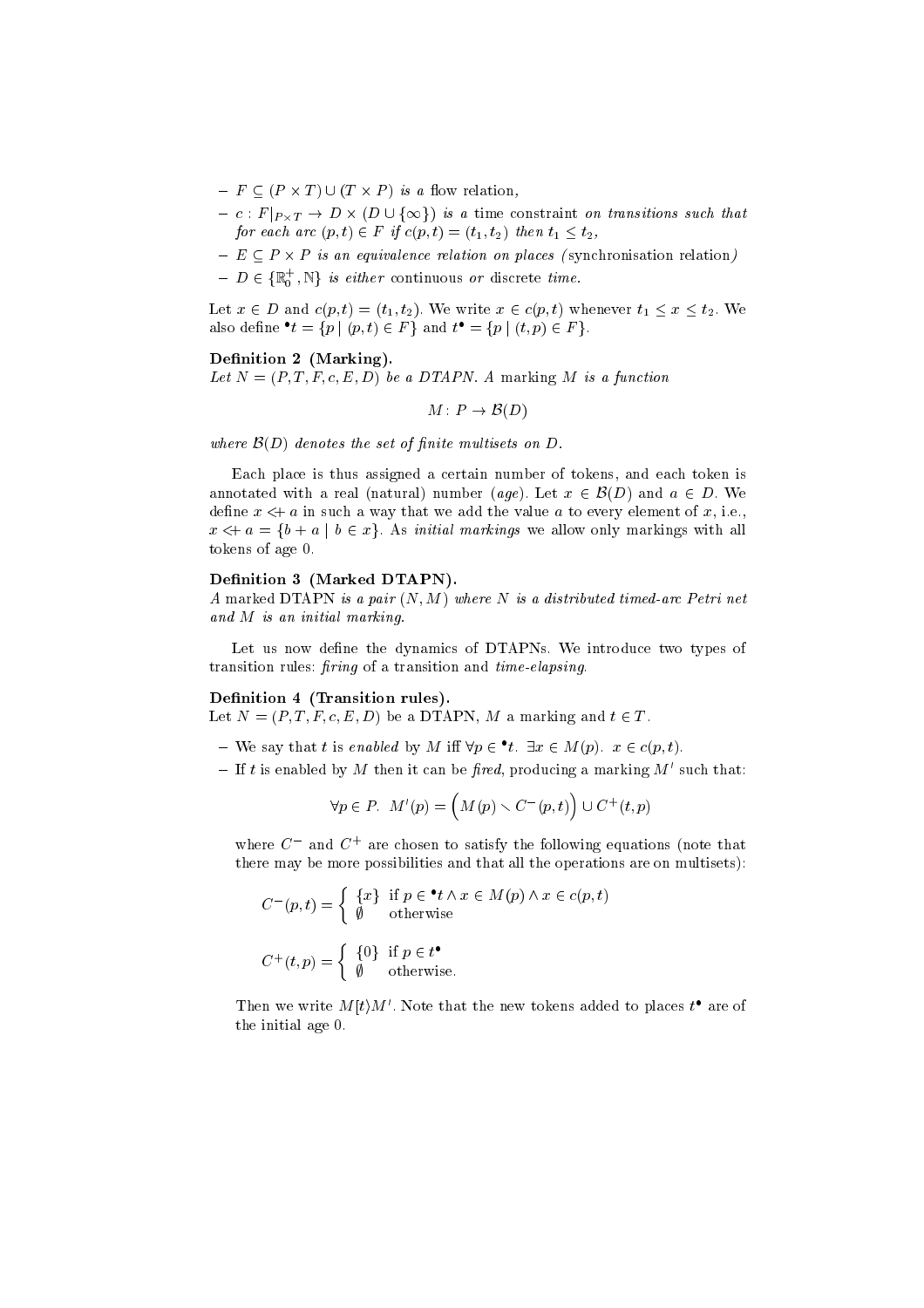- F (P T ) [ (T P ) is a ow relation,
- $\mathbf{F}$  is a set of  $\mathbf{F}$  is a set of  $\mathbf{F}$  is a set of  $\mathbf{F}$  is a set of  $\mathbf{F}$ for each arc  $(p, t) \in F$  if  $c(p, t) = (t_1, t_2)$  then  $t_1 \leq t_2$ ,
- $\equiv$  equivalence relation on places ( synchronication relation relation relations) and relation  $\ell$
- $D \in \{\mathbb{R}_0^d, \mathbb{N}\}\$  is either continuous or discrete time.

Let  $x$  2 D and  $\{v_1,\ldots,v_{\ell}\}$  with  $\ell$  and we write  $x$  2 c(p; t). We write  $\ell$  is taken the  $\ell$ also denne  $t = \{p \mid (p, t) \in F\}$  and  $t = \{p \mid (t, p) \in F\}$ .

#### Definition 2 (Marking).

Let  $N = (P, T, F, c, E, D)$  be a DTAPN. A marking M is a function

$$
M: P \to \mathcal{B}(D)
$$

where  $\mathcal{B}(D)$  denotes the set of finite multisets on  $D$ .

Each place is thus assigned a certain number of tokens, and each token is and a real contracted with a real (natural) number (age). Let  $x$  2 B(D) and a 2  $\equiv$  with  $\sim$ define  $x \leftrightarrow a$  in such a way that we add the value a to every element of x, i.e.,  $\alpha$  , and a fibre for  $\beta$  and  $\beta$  are allowed with markings we allow only mathematic  $\beta$  with all  $\beta$ tokens of age 0.

#### Definition 3 (Marked DTAPN).

A marked DTAPN is a pair  $(N, M)$  where N is a distributed timed-arc Petri net and M is an initial marking.

Let us now define the dynamics of DTAPNs. We introduce two types of transition rules:  $firing$  of a transition and  $time\text{-}elapsing$ .

#### Definition 4 (Transition rules).

 $\mathcal{L}$   $\mathcal{L}$   $\mathcal{L}$   $\mathcal{L}$   $\mathcal{L}$   $\mathcal{L}$   $\mathcal{L}$   $\mathcal{L}$   $\mathcal{L}$   $\mathcal{L}$   $\mathcal{L}$   $\mathcal{L}$   $\mathcal{L}$   $\mathcal{L}$   $\mathcal{L}$   $\mathcal{L}$   $\mathcal{L}$   $\mathcal{L}$   $\mathcal{L}$   $\mathcal{L}$   $\mathcal{L}$   $\mathcal{L}$   $\mathcal{L}$   $\mathcal{L}$   $\mathcal{$ 

- $-$  we say that t is enabled by M in  $\forall p \in \iota$ .  $\exists x \in M(p)$ .  $x \in c(p, \iota)$ .
- If t is enabled by M then it can be fired, producing a marking  $M'$  such that:

$$
\forall p \in P. \ \ M'(p) = \left( M(p) \smallsetminus C^-(p,t) \right) \cup C^+(t,p)
$$

where C and C are chosen to satisfy the following equations (note that there may be more possibilities and that all the operations are on multisets):

$$
C^{-}(p,t) = \begin{cases} \{x\} & \text{if } p \in \mathbf{^*t} \land x \in M(p) \land x \in c(p,t) \\ \emptyset & \text{otherwise} \end{cases}
$$

$$
C^{+}(t,p) = \begin{cases} \{0\} & \text{if } p \in t^{\bullet} \\ \emptyset & \text{otherwise.} \end{cases}
$$

Then we write  $M(t)M'$ . Note that the new tokens added to places  $t^{\bullet}$  are of the initial age 0.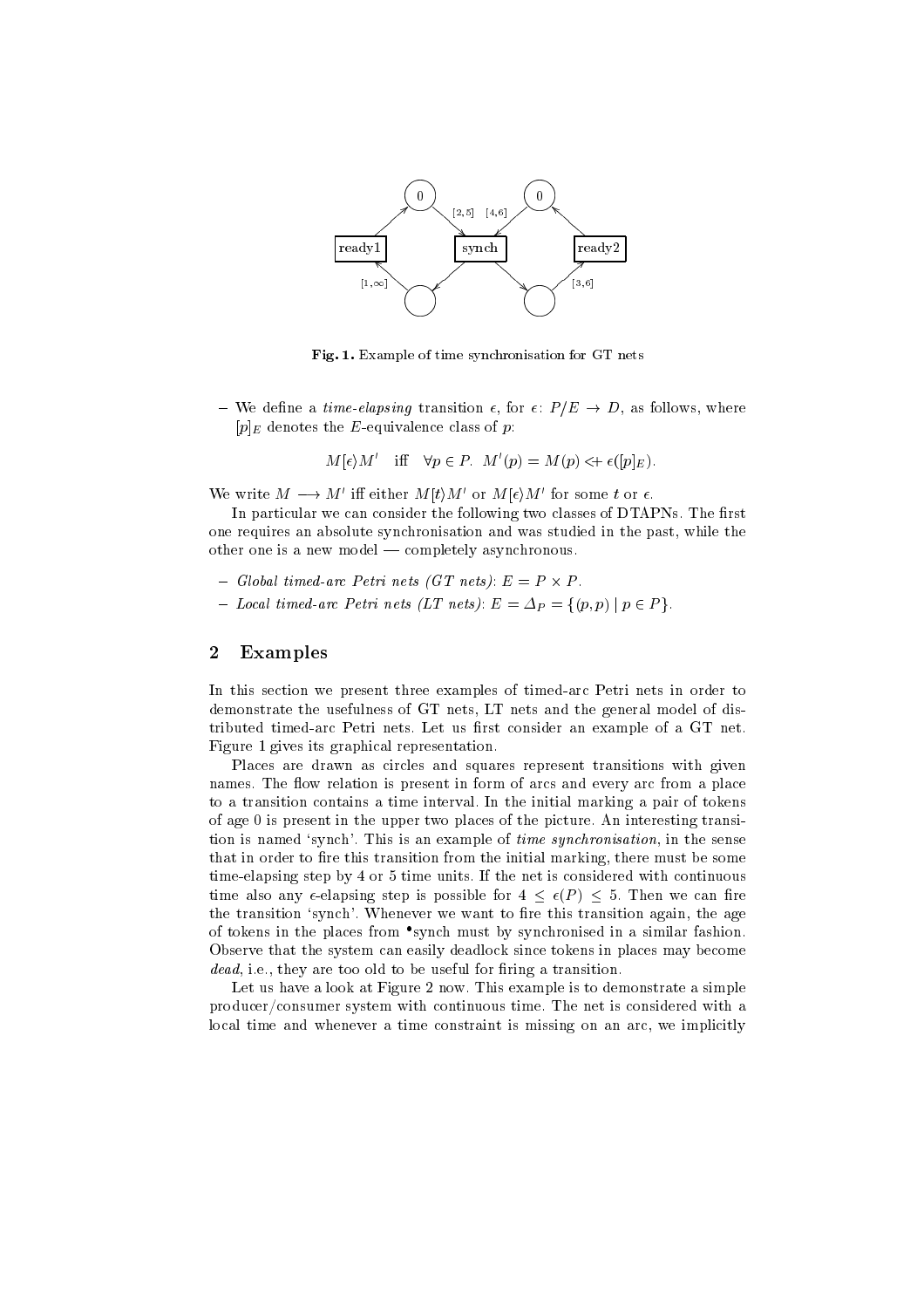

Fig. 1. Example of time synchronisation for GT nets

We denote a time-elapsing transition , for  $\alpha$  ,  $\alpha$  , where  $\alpha$  is  $\alpha$  $[p]_E$  denotes the E-equivalence class of p:

$$
M[\epsilon)M'
$$
 iff  $\forall p \in P$ .  $M'(p) = M(p) \iff \epsilon([p]_E)$ .

We write  $M \longrightarrow M$  in either  $M(t)M$  or  $M(t)M$  for some tor  $\epsilon$ .

In particular we can consider the following two classes of DTAPNs. The first one requires an absolute synchronisation and was studied in the past, while the other one is a new model  $-$  completely asynchronous.

- Global timed-arc Petri nets (GT nets): E <sup>=</sup> P P .
- Local timed-arc Petri nets (LT nets):  $E = \Delta_P = \{(p, p) \mid p \in P\}.$

#### 2 Examples

In this section we present three examples of timed-arc Petri nets in order to demonstrate the usefulness of GT nets, LT nets and the general model of distributed timed-arc Petri nets. Let us first consider an example of a GT net. Figure 1 gives its graphical representation.

Places are drawn as circles and squares represent transitions with given names. The flow relation is present in form of arcs and every arc from a place to a transition contains a time interval. In the initial marking a pair of tokens of age <sup>0</sup> is present in the upper two places of the picture. An interesting transition is named 'synch'. This is an example of *time synchronisation*, in the sense that in order to fire this transition from the initial marking, there must be some time-elapsing step by <sup>4</sup> or <sup>5</sup> time units. If the net is considered with continuous time also any -elapsing step is step in  $\mathcal{A}$  ,  $\mathcal{A}$  ,  $\mathcal{A}$  ,  $\mathcal{A}$  ,  $\mathcal{A}$  ,  $\mathcal{A}$  ,  $\mathcal{A}$  ,  $\mathcal{A}$  ,  $\mathcal{A}$  ,  $\mathcal{A}$  ,  $\mathcal{A}$  ,  $\mathcal{A}$  ,  $\mathcal{A}$  ,  $\mathcal{A}$  ,  $\mathcal{A}$  ,  $\mathcal{A}$  ,  $\mathcal{$ the transition 'synch'. Whenever we want to fire this transition again, the age of tokens in the places from synch must by synchronised in a similar fashion. Observe that the system can easily deadlock since tokens in places may become dead, i.e., they are too old to be useful for firing a transition.

Let us have a look at Figure 2 now. This example is to demonstrate a simple producer/consumer system with continuous time. The net is considered with a local time and whenever a time constraint is missing on an arc, we implicitly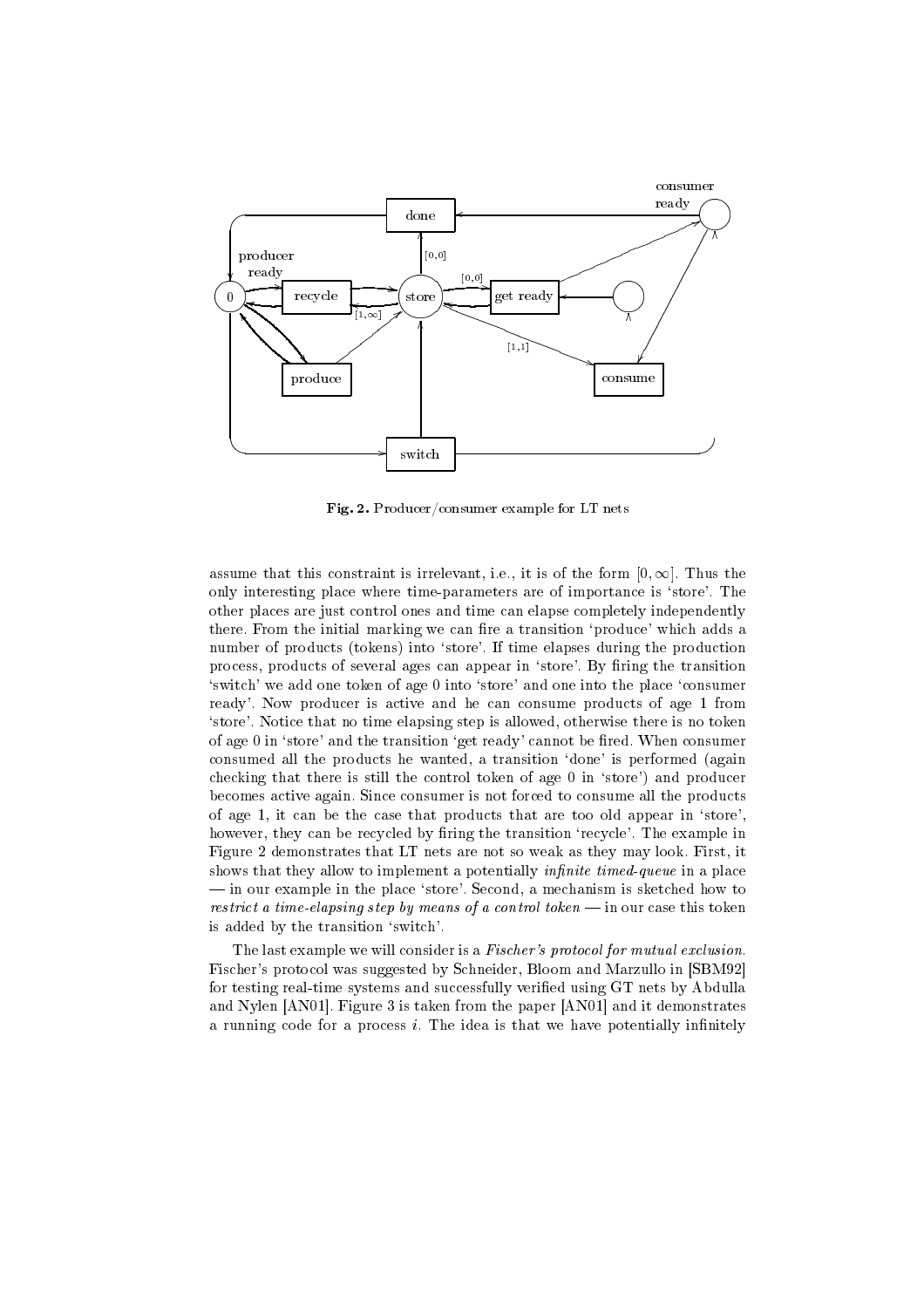

Fig. 2. Producer/consumer example for LT nets

assume that this constraint is irrelevant, i.e., it is of the form  $[0,\infty]$ . Thus the only interesting place where time-parameters are of importance is `store'. The other places are just control ones and time can elapse completely independently there. From the initial marking we can fire a transition 'produce' which adds a number of products (tokens) into 'store'. If time elapses during the production process, products of several ages can appear in 'store'. By firing the transition `switch' we add one token of age <sup>0</sup> into `store' and one into the place `consumer ready'. Now producer is active and he can consume products of age <sup>1</sup> from 'store'. Notice that no time elapsing step is allowed, otherwise there is no token of age 0 in 'store' and the transition 'get ready' cannot be fired. When consumer consumed all the products he wanted, a transition `done' is performed (again checking that there is still the control token of age 0 in 'store') and producer becomes active again. Since consumer is not forced to consume all the products of age 1,it can be the case that products that are too old appear in `store', however, they can be recycled by firing the transition 'recycle'. The example in Figure 2 demonstrates that LT nets are not so weak as they may look. First, it shows that they allow to implement a potentially *infinite timed-queue* in a place in our example in the place `store'. Second, a mechanism is sketched how to restrict a time-elapsing step by means of a control token  $-$  in our case this token is added by the transition `switch'.

The last example we will consider is a Fischer's protocol for mutual exclusion. Fischer's protocol was suggested by Schneider, Bloom and Marzullo in [SBM92] for testing real-time systems and successfully verified using GT nets by Abdulla and Nylen [AN01]. Figure 3 is taken from the paper [AN01] and it demonstrates a running code for a process  $i$ . The idea is that we have potentially infinitely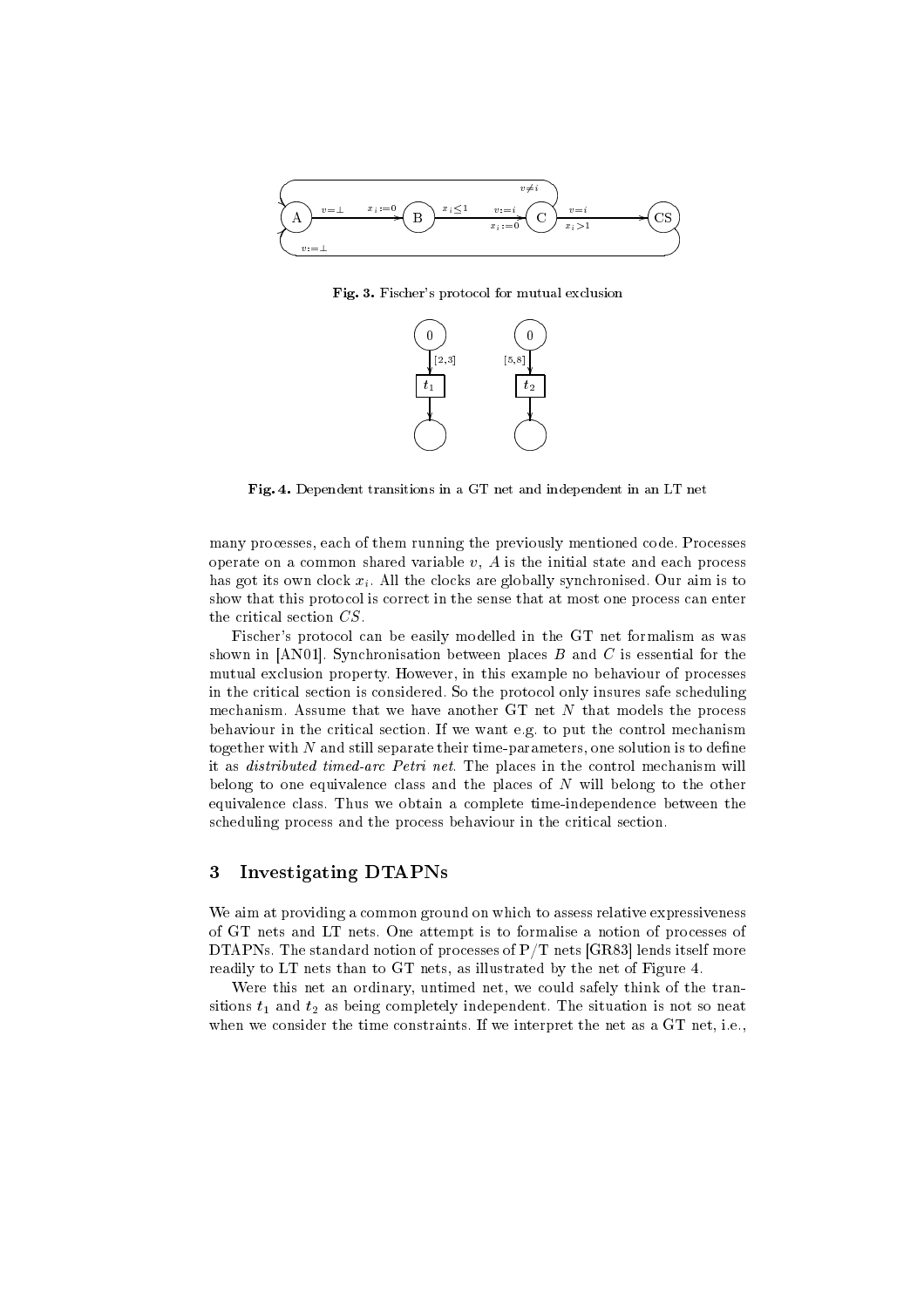

Fig. 3. Fischer's protocol for mutual exclusion



Fig. 4. Dependent transitions in a GT net and independent in an LT net

many processes, each of them running the previously mentioned code. Processes operate on a common shared variable  $v$ ,  $A$  is the initial state and each process has got its own clock  $x_i$ . All the clocks are globally synchronised. Our aim is to show that this protocol is correct in the sense that at most one process can enter

the critical section  $CS$ .<br>Fischer's protocol can be easily modelled in the GT net formalism as was shown in [AN01]. Synchronisation between places  $B$  and  $C$  is essential for the mutual exclusion property. However, in this example no behaviour of processes in the critical section is considered. So the protocol only insures safe scheduling mechanism. Assume that we have another GT net N that models the process behaviour in the critical section. If we want e.g. to put the control mechanism together with  $N$  and still separate their time-parameters, one solution is to define it as distributed timed-arc Petri net. The places in the control mechanism will belong to one equivalence class and the places of N will belong to the other equivalence class. Thus we obtain a complete time-independence between the scheduling process and the process behaviour in the critical section.

## 3 Investigating DTAPNs

We aim at providing a common ground on which to assess relative expressiveness of GT nets and LT nets. One attempt is to formalise a notion of processes of DTAPNs. The standard notion of processes of  $P/T$  nets [GR83] lends itself more readily to LT nets than to GT nets, as illustrated by the net of Figure 4.

Were this net an ordinary, untimed net, we could safely think of the transitions  $t_1$  and  $t_2$  as being completely independent. The situation is not so neat when we consider the time constraints. If we interpret the net as a GT net, i.e.,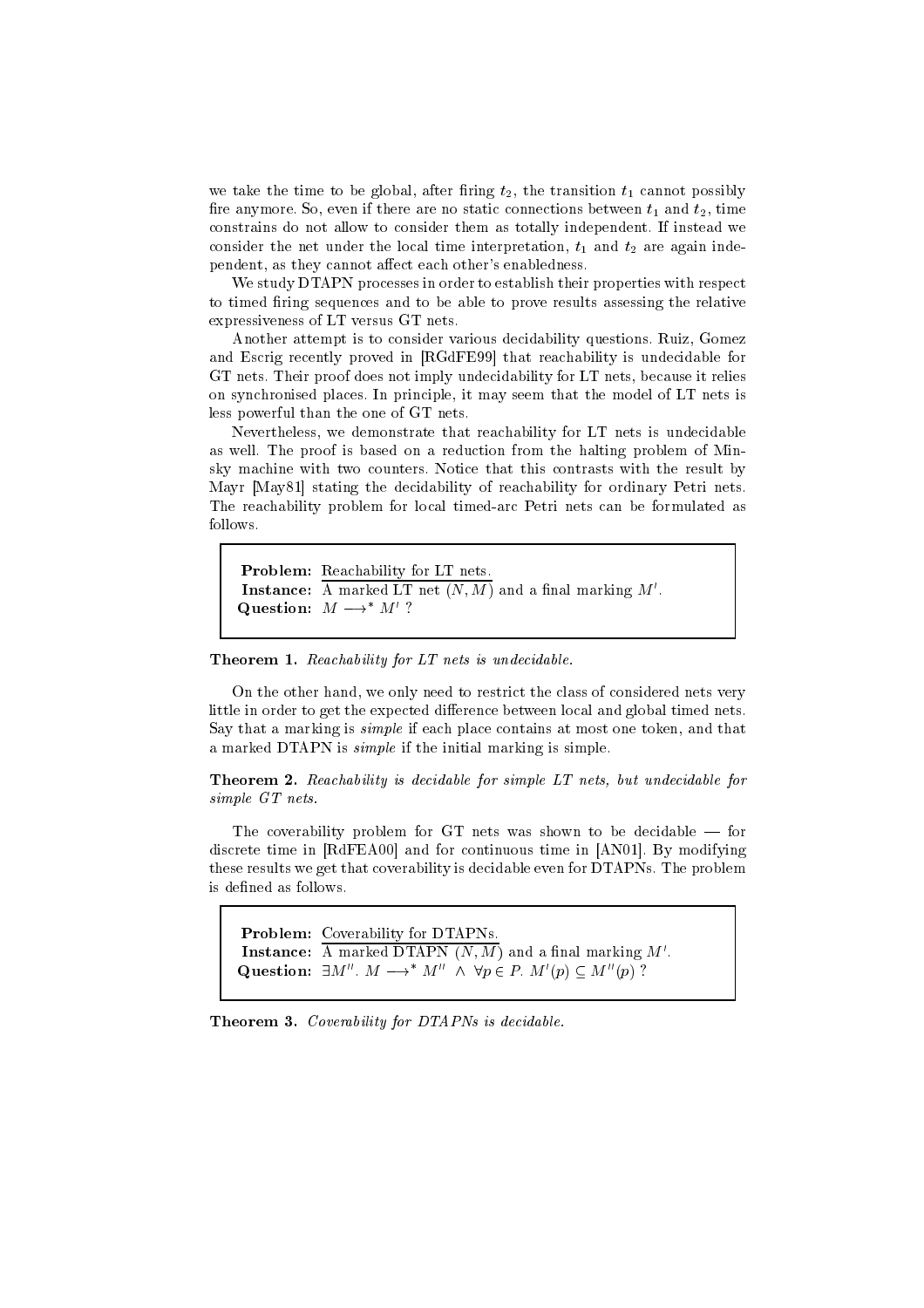we take the time to be global, after firing  $t_2$ , the transition  $t_1$  cannot possibly fire anymore. So, even if there are no static connections between  $t_1$  and  $t_2$ , time constrains do not allow to consider them as totally independent. If instead we consider the net under the local time interpretation,  $t_1$  and  $t_2$  are again independent, as they cannot affect each other's enabledness.

We study DTAPN processes in order to establish their properties with respect to timed firing sequences and to be able to prove results assessing the relative expressiveness of LT versus GT nets.

Another attempt is to consider various decidability questions. Ruiz, Gomez and Escrig recently proved in [RGdFE99] that reachability is undecidable for GT nets. Their proof does not imply undecidability for LT nets, because it relies on synchronised places. In principle, it may seem that the model of LT nets is less powerful than the one of GT nets.

Nevertheless, we demonstrate that reachability for LT nets is undecidable as well. The proof is based on a reduction from the halting problem of Minsky machine with two counters. Notice that this contrasts with the result by Mayr [May81] stating the decidability of reachability for ordinary Petri nets. The reachability problem for local timed-arc Petri nets can be formulated as follows.

```
Problem: Reachability for LT nets.
Instance: \overline{A} marked LT net (N, M) and a final marking M'.
Question: M \longrightarrow^* M' ?
```
Theorem 1. Reachability for LT nets is undecidable.

On the other hand, we only need to restrict the class of considered nets very little in order to get the expected difference between local and global timed nets. Say that a marking is simple if each place contains at most one token, and that a marked DTAPN is simple if the initial marking is simple.

Theorem 2. Reachability is decidable for simple LT nets, but undecidable for simple GT nets.

The coverability problem for GT nets was shown to be decidable  $-$  for discrete time in [RdFEA00] and for continuous time in [AN01]. By modifying these results we get that coverability is decidable even for DTAPNs. The problem is defined as follows.

Problem: Coverability for DTAPNs. Instance: A marked DTAPN  $(N, M)$  and a final marking M'. Question:  $\exists M''$ .  $M \longrightarrow^* M'' \land \forall p \in P$ .  $M'(p) \subseteq M''(p)$  ?

Theorem 3. Coverability for DTAPNs is decidable.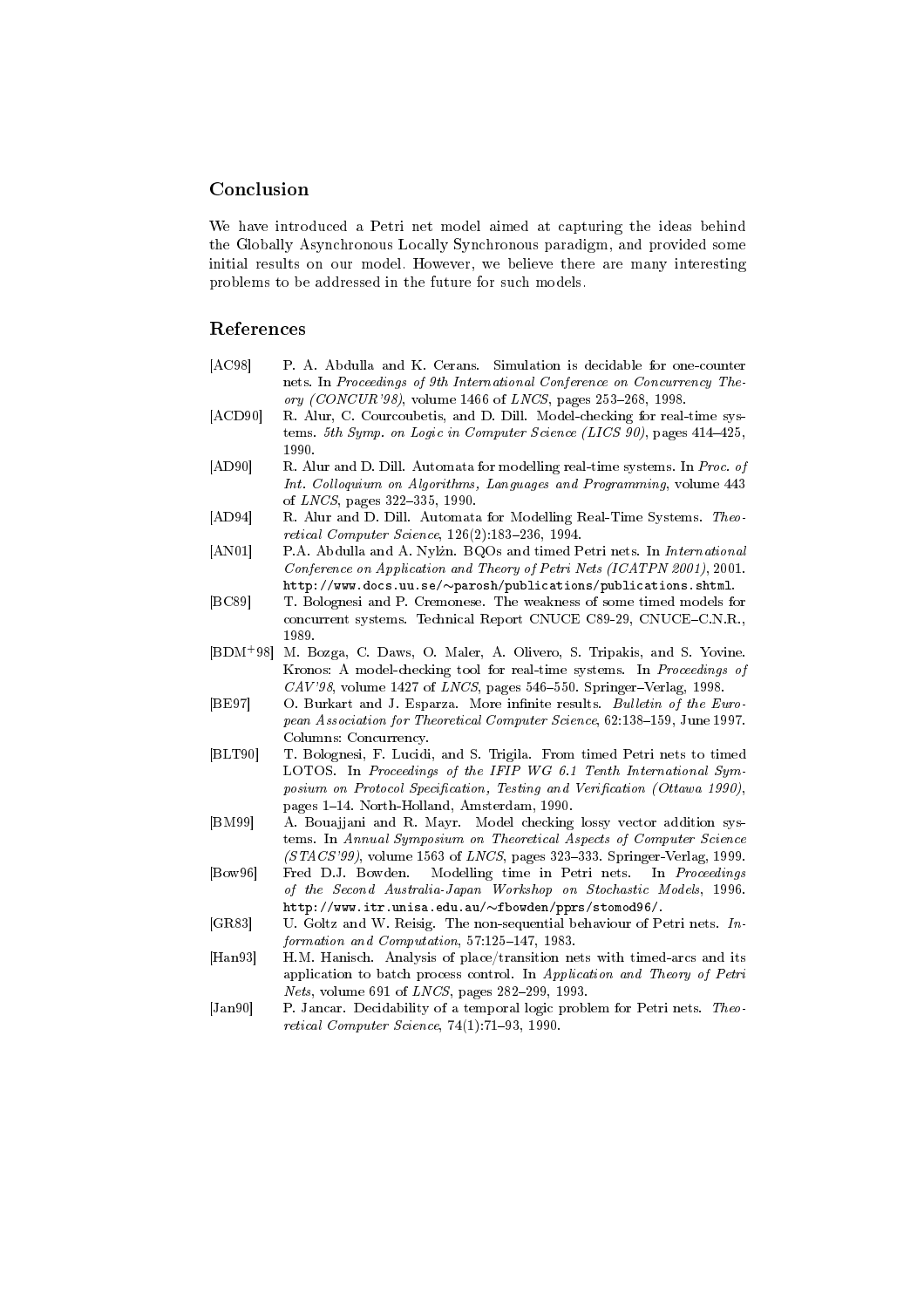## Conclusion

We have introduced a Petri net model aimed at capturing the ideas behind the Globally Asynchronous Locally Synchronous paradigm, and provided some initial results on our model. However, we believe there are many interesting problems to be addressed in the future for such models.

## References

- [AC98] P. A. Abdulla and K. Cerans. Simulation is decidable for one-counter nets. In Proceedings of 9th International Conference on Concurrency Theory (CONCUR'98), volume 1466 of LNCS, pages 253-268, 1998.
- [ACD90] R. Alur, C. Courcoubetis, and D. Dill. Model-checking for real-time systems. 5th Symp. on Logic in Computer Science (LICS 90), pages  $414-425$ , 1990
- [AD90] R. Alur and D. Dill. Automata for modelling real-time systems. In Proc. of Int. Colloquium on Algorithms, Languages and Programming, volume 443 of *LNCS*, pages 322-335, 1990.
- [AD94] R. Alur and D. Dill. Automata for Modelling Real-Time Systems. Theo retical Computer Science,  $126(2):183-236, 1994.$
- [AN01] P.A. Abdulla and A. Nylżn. BQOs and timed Petri nets. In International Conference on Application and Theory of Petri Nets (ICATPN 2001), 2001.  $http://www.docs.uu.se/~parosh/publications/publications.shtml.$
- [BC89] T. Bolognesi and P. Cremonese. The weakness of some timed models for concurrent systems. Technical Report CNUCE C89-29, CNUCE-C.N.R., 1989.
- $[$ BDM<sup>+98 $]$ </sup> M. Bozga, C. Daws, O. Maler, A. Olivero, S. Tripakis, and S. Yovine. Kronos: A model-checking tool for real-time systems. In Proceedings of  $CAV'98$ , volume 1427 of  $LNCS$ , pages 546-550. Springer-Verlag, 1998.
- [BE97] O. Burkart and J. Esparza. More infinite results. Bulletin of the European Association for Theoretical Computer Science, 62:138-159, June 1997. Columns: Concurrency.
- [BLT90] T. Bolognesi, F. Lucidi, and S. Trigila. From timed Petri nets to timed LOTOS. In Proceedings of the IFIP WG 6.1 Tenth International Symposium on Protocol Specification, Testing and Verification (Ottawa 1990), pages 1-14. North-Holland, Amsterdam, 1990.
- [BM99] A. Bouajjani and R. Mayr. Model checking lossy vector addition systems. In Annual Symposium on Theoretical Aspects of Computer Science  $(STACS'99)$ , volume 1563 of *LNCS*, pages 323-333. Springer-Verlag, 1999.
- [Bow96] Fred D.J. Bowden. Modelling time in Petri nets. In Proceedings of the Second Australia-Japan Workshop on Stochastic Models, 1996.  $http://www.itr.unisa.edu.au/~fbowden/pprs/stomod96/.$
- [GR83] U. Goltz and W. Reisig. The non-sequential behaviour of Petri nets. In $formation$  and  $Computation$ ,  $57:125-147$ , 1983.
- [Han93] H.M. Hanisch. Analysis of place/transition nets with timed-arcs and its application to batch process control. In Application and Theory of Petri  $Nets$ , volume 691 of  $LNCS$ , pages 282-299, 1993.
- [Jan90] P. Jancar. Decidability of a temporal logic problem for Petri nets. Theoretical Computer Science,  $74(1):71-93, 1990.$